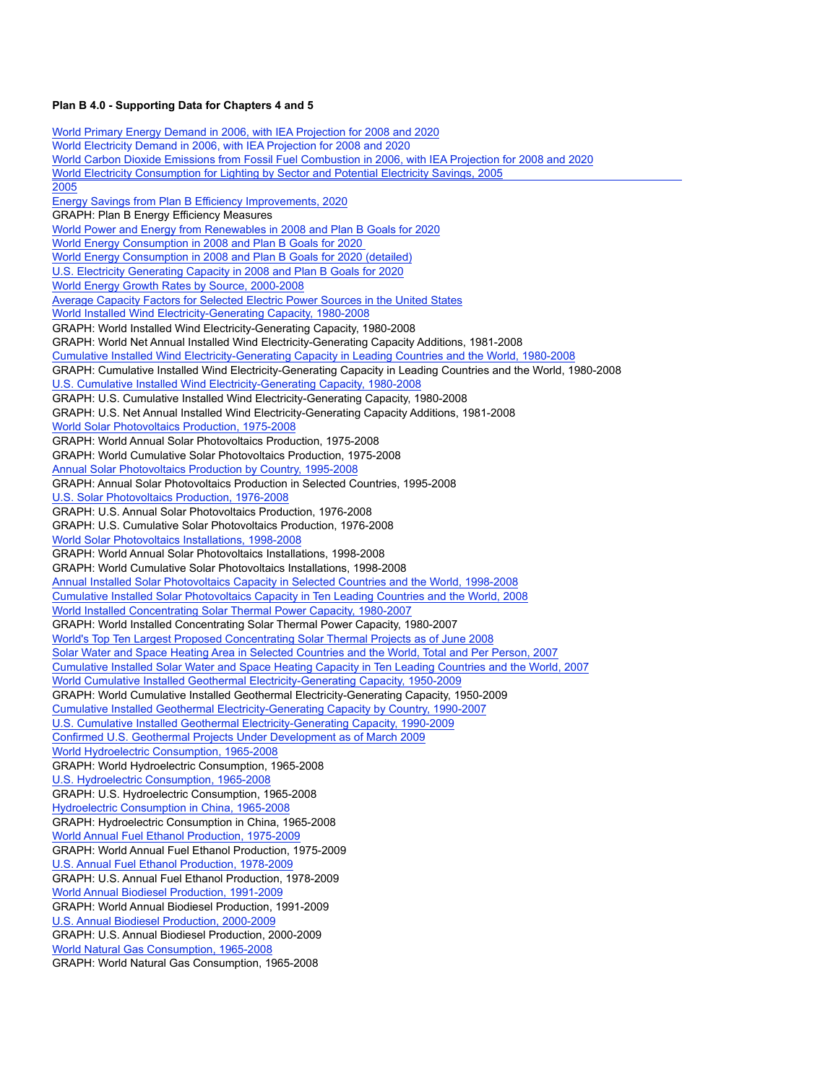## **Plan B 4.0 - Supporting Data for Chapters 4 and 5**

World Primary Energy Demand in 2006, with IEA Projection for 2008 and 2020 World Electricity Demand in 2006, with IEA Projection for 2008 and 2020 World Carbon Dioxide Emissions from Fossil Fuel Combustion in 2006, with IEA Projection for 2008 and 2020 World Electricity Consumption for Lighting by Sector and Potential Electricity Savings, 2005 Potential Electricity Savings and Implementing and Implementing System Control Technology and Implementing System Control Technol 2005 Energy Savings from Plan B Efficiency Improvements, 2020 GRAPH: Plan B Energy Efficiency Measures World Power and Energy from Renewables in 2008 and Plan B Goals for 2020 World Energy Consumption in 2008 and Plan B Goals for 2020 U.S. Electricity Generating Capacity in 2008 and Plan B Goals for 2020 World Energy Growth Rates by Source, 2000-2008 Average Capacity Factors for Selected Electric Power Sources in the United States World Installed Wind Electricity-Generating Capacity, 1980-2008 GRAPH: World Installed Wind Electricity-Generating Capacity, 1980-2008 GRAPH: World Net Annual Installed Wind Electricity-Generating Capacity Additions, 1981-2008 Cumulative Installed Wind Electricity-Generating Capacity in Leading Countries and the World, 1980-2008 GRAPH: Cumulative Installed Wind Electricity-Generating Capacity in Leading Countries and the World, 1980-2008 U.S. Cumulative Installed Wind Electricity-Generating Capacity, 1980-2008 GRAPH: U.S. Cumulative Installed Wind Electricity-Generating Capacity, 1980-2008 GRAPH: U.S. Net Annual Installed Wind Electricity-Generating Capacity Additions, 1981-2008 World Solar Photovoltaics Production, 1975-2008 GRAPH: World Annual Solar Photovoltaics Production, 1975-2008 GRAPH: World Cumulative Solar Photovoltaics Production, 1975-2008 Annual Solar Photovoltaics Production by Country, 1995-2008 GRAPH: Annual Solar Photovoltaics Production in Selected Countries, 1995-2008 U.S. Solar Photovoltaics Production, 1976-2008 GRAPH: U.S. Annual Solar Photovoltaics Production, 1976-2008 GRAPH: U.S. Cumulative Solar Photovoltaics Production, 1976-2008 World Solar Photovoltaics Installations, 1998-2008 GRAPH: World Annual Solar Photovoltaics Installations, 1998-2008 GRAPH: World Cumulative Solar Photovoltaics Installations, 1998-2008 Annual Installed Solar Photovoltaics Capacity in Selected Countries and the World, 1998-2008 Cumulative Installed Solar Photovoltaics Capacity in Ten Leading Countries and the World, 2008 World Installed Concentrating Solar Thermal Power Capacity, 1980-2007 GRAPH: World Installed Concentrating Solar Thermal Power Capacity, 1980-2007 World's Top Ten Largest Proposed Concentrating Solar Thermal Projects as of June 2008 Solar Water and Space Heating Area in Selected Countries and the World, Total and Per Person, 2007 Cumulative Installed Solar Water and Space Heating Capacity in Ten Leading Countries and the World, 2007 World Cumulative Installed Geothermal Electricity-Generating Capacity, 1950-2009 GRAPH: World Cumulative Installed Geothermal Electricity-Generating Capacity, 1950-2009 Cumulative Installed Geothermal Electricity-Generating Capacity by Country, 1990-2007 U.S. Cumulative Installed Geothermal Electricity-Generating Capacity, 1990-2009 Confirmed U.S. Geothermal Projects Under Development as of March 2009 World Hydroelectric Consumption, 1965-2008 GRAPH: World Hydroelectric Consumption, 1965-2008 U.S. Hydroelectric Consumption, 1965-2008 GRAPH: U.S. Hydroelectric Consumption, 1965-2008 Hydroelectric Consumption in China, 1965-2008 GRAPH: Hydroelectric Consumption in China, 1965-2008 World Annual Fuel Ethanol Production, 1975-2009 GRAPH: World Annual Fuel Ethanol Production, 1975-2009 U.S. Annual Fuel Ethanol Production, 1978-2009 GRAPH: U.S. Annual Fuel Ethanol Production, 1978-2009 World Annual Biodiesel Production, 1991-2009 GRAPH: World Annual Biodiesel Production, 1991-2009 U.S. Annual Biodiesel Production, 2000-2009 GRAPH: U.S. Annual Biodiesel Production, 2000-2009 World Natural Gas Consumption, 1965-2008 GRAPH: World Natural Gas Consumption, 1965-2008 World Energy Consumption in 2008 and Plan B Goals for 2020 (detailed)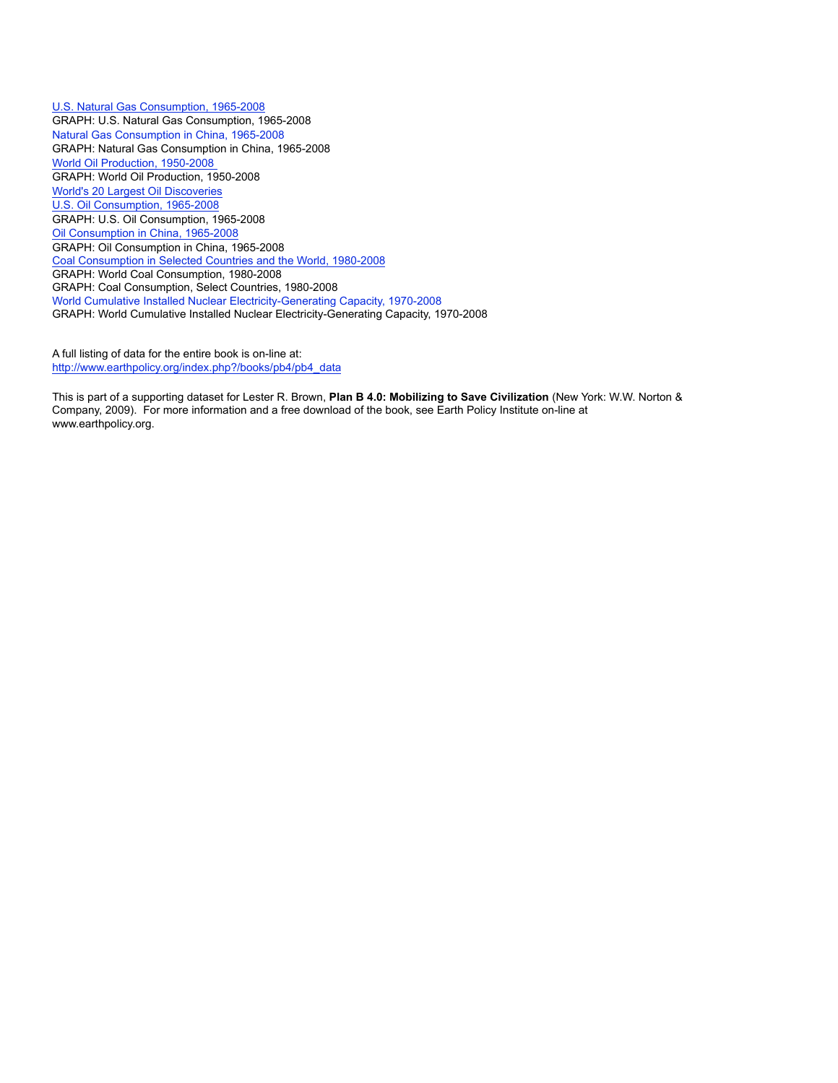U.S. Natural Gas Consumption, 1965-2008 GRAPH: U.S. Natural Gas Consumption, 1965-2008 Natural Gas Consumption in China, 1965-2008 GRAPH: Natural Gas Consumption in China, 1965-2008 World Oil Production, 1950-2008 GRAPH: World Oil Production, 1950-2008 World's 20 Largest Oil Discoveries U.S. Oil Consumption, 1965-2008 GRAPH: U.S. Oil Consumption, 1965-2008 Oil Consumption in China, 1965-2008 GRAPH: Oil Consumption in China, 1965-2008 Coal Consumption in Selected Countries and the World, 1980-2008 GRAPH: World Coal Consumption, 1980-2008 GRAPH: Coal Consumption, Select Countries, 1980-2008 World Cumulative Installed Nuclear Electricity-Generating Capacity, 1970-2008 GRAPH: World Cumulative Installed Nuclear Electricity-Generating Capacity, 1970-2008

A full listing of data for the entire book is on-line at: http://www.earthpolicy.org/index.php?/books/pb4/pb4\_data

This is part of a supporting dataset for Lester R. Brown, **Plan B 4.0: Mobilizing to Save Civilization** (New York: W.W. Norton & Company, 2009). For more information and a free download of the book, see Earth Policy Institute on-line at www.earthpolicy.org.